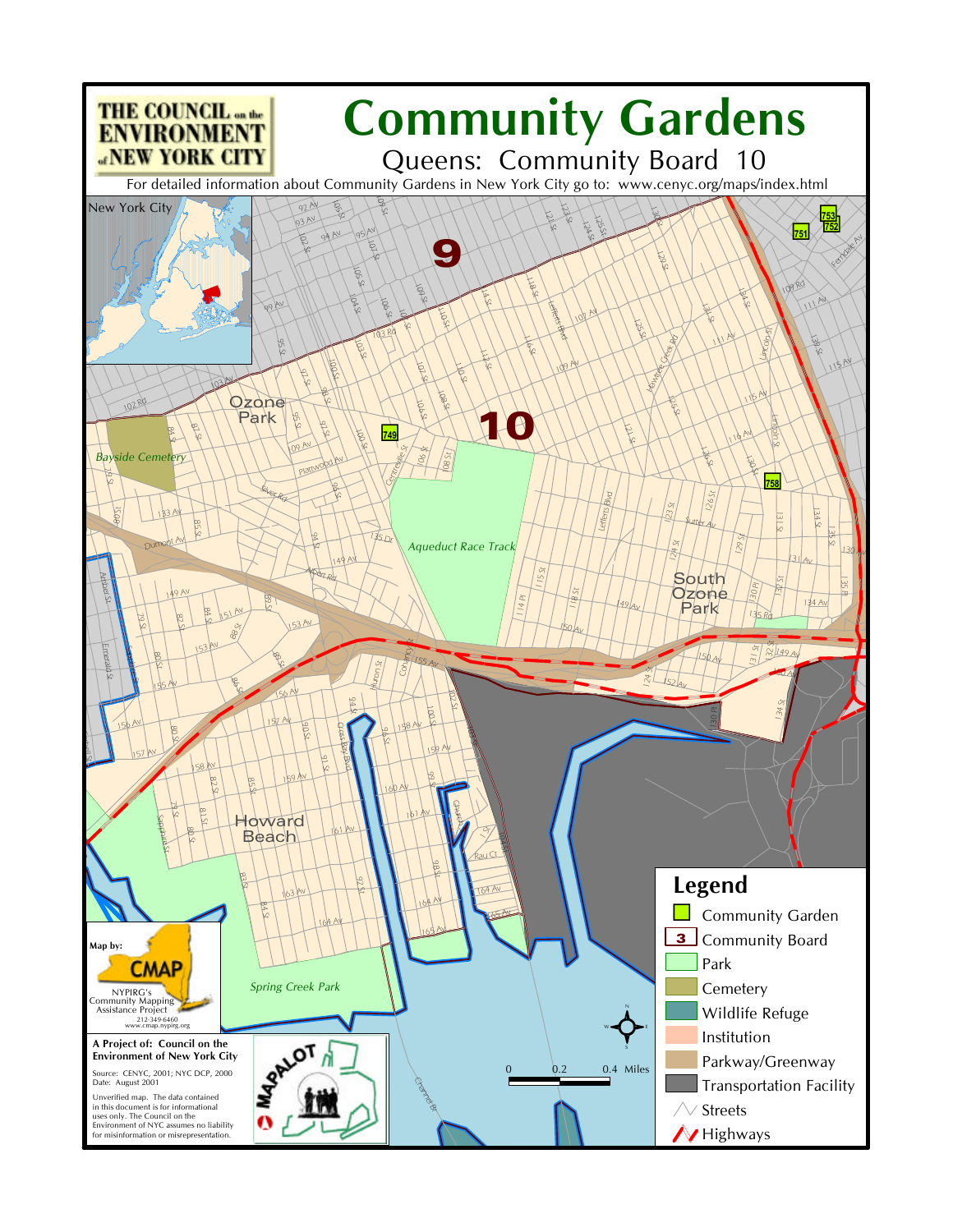